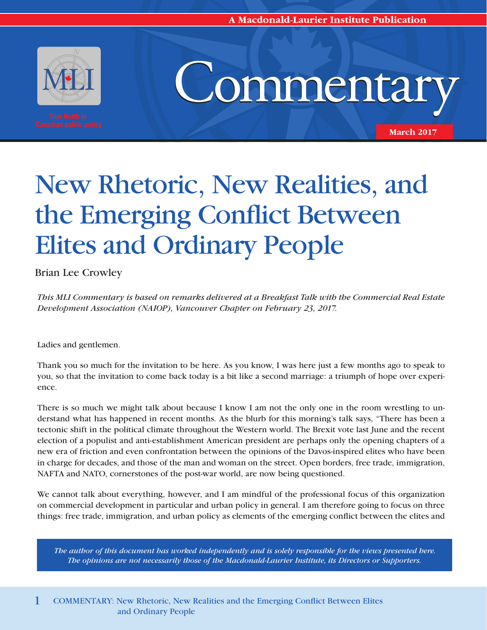**A Macdonald-Laurier Institute Publication** 



# Commentary

**March 2017**

## New Rhetoric, New Realities, and the Emerging Conflict Between Elites and Ordinary People

Brian Lee Crowley

*This MLI Commentary is based on remarks delivered at a Breakfast Talk with the Commercial Real Estate Development Association (NAIOP), Vancouver Chapter on February 23, 2017.*

Ladies and gentlemen.

Thank you so much for the invitation to be here. As you know, I was here just a few months ago to speak to you, so that the invitation to come back today is a bit like a second marriage: a triumph of hope over experience.

There is so much we might talk about because I know I am not the only one in the room wrestling to understand what has happened in recent months. As the blurb for this morning's talk says, "There has been a tectonic shift in the political climate throughout the Western world. The Brexit vote last June and the recent election of a populist and anti-establishment American president are perhaps only the opening chapters of a new era of friction and even confrontation between the opinions of the Davos-inspired elites who have been in charge for decades, and those of the man and woman on the street. Open borders, free trade, immigration, NAFTA and NATO, cornerstones of the post-war world, are now being questioned.

We cannot talk about everything, however, and I am mindful of the professional focus of this organization on commercial development in particular and urban policy in general. I am therefore going to focus on three things: free trade, immigration, and urban policy as elements of the emerging conflict between the elites and

*The author of this document has worked independently and is solely responsible for the views presented here. The opinions are not necessarily those of the Macdonald-Laurier Institute, its Directors or Supporters.*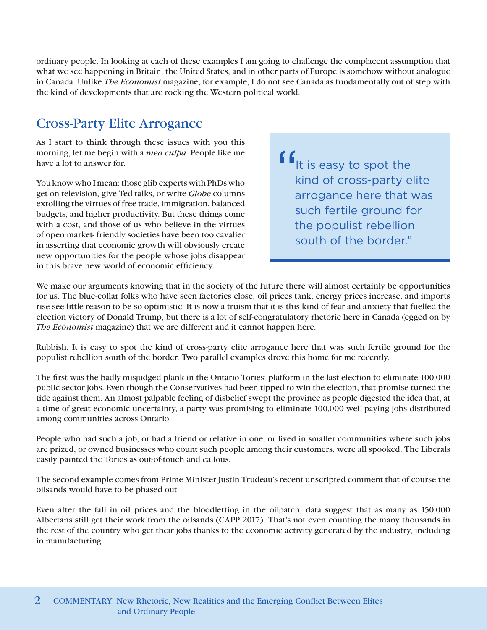ordinary people. In looking at each of these examples I am going to challenge the complacent assumption that what we see happening in Britain, the United States, and in other parts of Europe is somehow without analogue in Canada. Unlike *The Economist* magazine, for example, I do not see Canada as fundamentally out of step with the kind of developments that are rocking the Western political world.

### Cross-Party Elite Arrogance

As I start to think through these issues with you this morning, let me begin with a *mea culpa*. People like me have a lot to answer for.

You know who I mean: those glib experts with PhDs who get on television, give Ted talks, or write *Globe* columns extolling the virtues of free trade, immigration, balanced budgets, and higher productivity. But these things come with a cost, and those of us who believe in the virtues of open market- friendly societies have been too cavalier in asserting that economic growth will obviously create new opportunities for the people whose jobs disappear in this brave new world of economic efficiency.

 $\int_{\mathsf{I}} f$  is easy to spot the kind of cross-party elite arrogance here that was such fertile ground for the populist rebellion south of the border."

We make our arguments knowing that in the society of the future there will almost certainly be opportunities for us. The blue-collar folks who have seen factories close, oil prices tank, energy prices increase, and imports rise see little reason to be so optimistic. It is now a truism that it is this kind of fear and anxiety that fuelled the election victory of Donald Trump, but there is a lot of self-congratulatory rhetoric here in Canada (egged on by *The Economist* magazine) that we are different and it cannot happen here.

Rubbish. It is easy to spot the kind of cross-party elite arrogance here that was such fertile ground for the populist rebellion south of the border. Two parallel examples drove this home for me recently.

The first was the badly-misjudged plank in the Ontario Tories' platform in the last election to eliminate 100,000 public sector jobs. Even though the Conservatives had been tipped to win the election, that promise turned the tide against them. An almost palpable feeling of disbelief swept the province as people digested the idea that, at a time of great economic uncertainty, a party was promising to eliminate 100,000 well-paying jobs distributed among communities across Ontario.

People who had such a job, or had a friend or relative in one, or lived in smaller communities where such jobs are prized, or owned businesses who count such people among their customers, were all spooked. The Liberals easily painted the Tories as out-of-touch and callous.

The second example comes from Prime Minister Justin Trudeau's recent unscripted comment that of course the oilsands would have to be phased out.

Even after the fall in oil prices and the bloodletting in the oilpatch, data suggest that as many as 150,000 Albertans still get their work from the oilsands (CAPP 2017). That's not even counting the many thousands in the rest of the country who get their jobs thanks to the economic activity generated by the industry, including in manufacturing.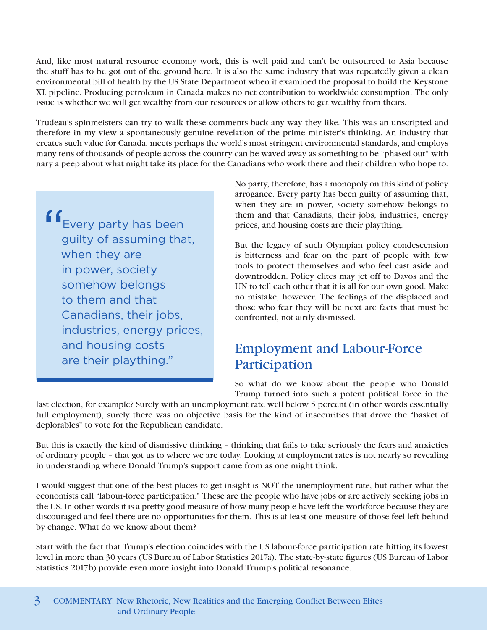And, like most natural resource economy work, this is well paid and can't be outsourced to Asia because the stuff has to be got out of the ground here. It is also the same industry that was repeatedly given a clean environmental bill of health by the US State Department when it examined the proposal to build the Keystone XL pipeline. Producing petroleum in Canada makes no net contribution to worldwide consumption. The only issue is whether we will get wealthy from our resources or allow others to get wealthy from theirs.

Trudeau's spinmeisters can try to walk these comments back any way they like. This was an unscripted and therefore in my view a spontaneously genuine revelation of the prime minister's thinking. An industry that creates such value for Canada, meets perhaps the world's most stringent environmental standards, and employs many tens of thousands of people across the country can be waved away as something to be "phased out" with nary a peep about what might take its place for the Canadians who work there and their children who hope to.

f f<sub>Every</sub> party has been guilty of assuming that, when they are in power, society somehow belongs to them and that Canadians, their jobs, industries, energy prices, and housing costs are their plaything."

No party, therefore, has a monopoly on this kind of policy arrogance. Every party has been guilty of assuming that, when they are in power, society somehow belongs to them and that Canadians, their jobs, industries, energy prices, and housing costs are their plaything.

But the legacy of such Olympian policy condescension is bitterness and fear on the part of people with few tools to protect themselves and who feel cast aside and downtrodden. Policy elites may jet off to Davos and the UN to tell each other that it is all for our own good. Make no mistake, however. The feelings of the displaced and those who fear they will be next are facts that must be confronted, not airily dismissed.

### Employment and Labour-Force Participation

So what do we know about the people who Donald Trump turned into such a potent political force in the

last election, for example? Surely with an unemployment rate well below 5 percent (in other words essentially full employment), surely there was no objective basis for the kind of insecurities that drove the "basket of deplorables" to vote for the Republican candidate.

But this is exactly the kind of dismissive thinking – thinking that fails to take seriously the fears and anxieties of ordinary people – that got us to where we are today. Looking at employment rates is not nearly so revealing in understanding where Donald Trump's support came from as one might think.

I would suggest that one of the best places to get insight is NOT the unemployment rate, but rather what the economists call "labour-force participation." These are the people who have jobs or are actively seeking jobs in the US. In other words it is a pretty good measure of how many people have left the workforce because they are discouraged and feel there are no opportunities for them. This is at least one measure of those feel left behind by change. What do we know about them?

Start with the fact that Trump's election coincides with the US labour-force participation rate hitting its [lowest](https://data.bls.gov/timeseries/LNS11300000)  [level i](https://data.bls.gov/timeseries/LNS11300000)n more than 30 years (US Bureau of Labor Statistics 2017a). The state-by-state figures (US Bureau of Labor Statistics 2017b) provide even more insight into Donald Trump's political resonance.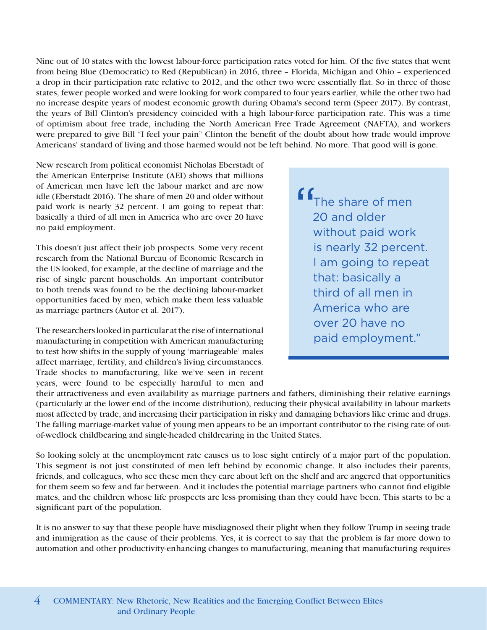Nine out of 10 states with the lowest labour-force participation rates voted for him. Of the five states that went from being Blue (Democratic) to Red (Republican) in 2016, three – Florida, Michigan and Ohio – experienced a drop in their participation rate relative to 2012, and the other two were essentially flat. So in three of those states, fewer people worked and were looking for work compared to four years earlier, while the other two had no increase despite years of modest economic growth during Obama's second term (Speer 2017). By contrast, the years of Bill Clinton's presidency coincided with a high labour-force participation rate. This was a time of optimism about free trade, including the North American Free Trade Agreement (NAFTA), and workers were prepared to give Bill "I feel your pain" Clinton the benefit of the doubt about how trade would improve Americans' standard of living and those harmed would not be left behind. No more. That good will is gone.

New research from political economist Nicholas Eberstadt of the American Enterprise Institute (AEI) shows that millions of American men have left the labour market and are now idle (Eberstadt 2016). The share of men 20 and older without paid work is nearly 32 percent. I am going to repeat that: basically a third of all men in America who are over 20 have no paid employment.

This doesn't just affect their job prospects. Some very recent research from the National Bureau of Economic Research in the US looked, for example, at the decline of marriage and the rise of single parent households. An important contributor to both trends was found to be the declining labour-market opportunities faced by men, which make them less valuable as marriage partners (Autor et al. 2017).

The researchers looked in particular at the rise of international manufacturing in competition with American manufacturing to test how shifts in the supply of young 'marriageable' males affect marriage, fertility, and children's living circumstances. Trade shocks to manufacturing, like we've seen in recent years, were found to be especially harmful to men and

f f<sub>The share of men</sub> 20 and older without paid work is nearly 32 percent. I am going to repeat that: basically a third of all men in America who are over 20 have no paid employment."

their attractiveness and even availability as marriage partners and fathers, diminishing their relative earnings (particularly at the lower end of the income distribution), reducing their physical availability in labour markets most affected by trade, and increasing their participation in risky and damaging behaviors like crime and drugs. The falling marriage-market value of young men appears to be an important contributor to the rising rate of outof-wedlock childbearing and single-headed childrearing in the United States.

So looking solely at the unemployment rate causes us to lose sight entirely of a major part of the population. This segment is not just constituted of men left behind by economic change. It also includes their parents, friends, and colleagues, who see these men they care about left on the shelf and are angered that opportunities for them seem so few and far between. And it includes the potential marriage partners who cannot find eligible mates, and the children whose life prospects are less promising than they could have been. This starts to be a significant part of the population.

It is no answer to say that these people have misdiagnosed their plight when they follow Trump in seeing trade and immigration as the cause of their problems. Yes, it is correct to say that the problem is far more down to automation and other productivity-enhancing changes to manufacturing, meaning that manufacturing requires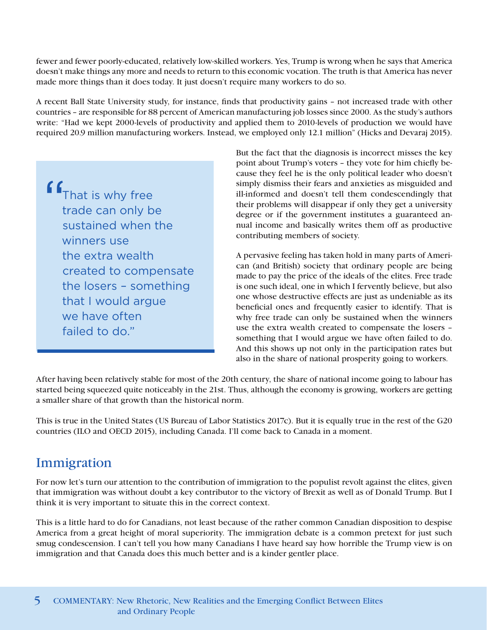fewer and fewer poorly-educated, relatively low-skilled workers. Yes, Trump is wrong when he says that America doesn't make things any more and needs to return to this economic vocation. The truth is that America has never made more things than it does today. It just doesn't require many workers to do so.

A recent Ball State University study, for instance, finds that productivity gains – not increased trade with other countries – are responsible for 88 percent of American manufacturing job losses since 2000. As the study's authors write: "Had we kept 2000-levels of productivity and applied them to 2010-levels of production we would have required 20.9 million manufacturing workers. Instead, we employed only 12.1 million" (Hicks and Devaraj 2015).

**f** f<sub>That is why free</sub> trade can only be sustained when the winners use the extra wealth created to compensate the losers – something that I would argue we have often failed to do."

But the fact that the diagnosis is incorrect misses the key point about Trump's voters – they vote for him chiefly because they feel he is the only political leader who doesn't simply dismiss their fears and anxieties as misguided and ill-informed and doesn't tell them condescendingly that their problems will disappear if only they get a university degree or if the government institutes a guaranteed annual income and basically writes them off as productive contributing members of society.

A pervasive feeling has taken hold in many parts of American (and British) society that ordinary people are being made to pay the price of the ideals of the elites. Free trade is one such ideal, one in which I fervently believe, but also one whose destructive effects are just as undeniable as its beneficial ones and frequently easier to identify. That is why free trade can only be sustained when the winners use the extra wealth created to compensate the losers – something that I would argue we have often failed to do. And this shows up not only in the participation rates but also in the share of national prosperity going to workers.

After having been relatively stable for most of the 20th century, the share of national income going to labour has started being squeezed quite noticeably in the 21st. Thus, although the economy is growing, workers are getting a smaller share of that growth than the historical norm.

This is true in the United States (US Bureau of Labor Statistics 2017c). But it is equally true in [the rest of the G20](https://www.oecd.org/g20/topics/employment-and-social-policy/The-Labour-Share-in-G20-Economies.pdf)  [countries](https://www.oecd.org/g20/topics/employment-and-social-policy/The-Labour-Share-in-G20-Economies.pdf) (ILO and OECD 2015), including Canada. I'll come back to Canada in a moment.

### Immigration

For now let's turn our attention to the contribution of immigration to the populist revolt against the elites, given that immigration was without doubt a key contributor to the victory of Brexit as well as of Donald Trump. But I think it is very important to situate this in the correct context.

This is a little hard to do for Canadians, not least because of the rather common Canadian disposition to despise America from a great height of moral superiority. The immigration debate is a common pretext for just such smug condescension. I can't tell you how many Canadians I have heard say how horrible the Trump view is on immigration and that Canada does this much better and is a kinder gentler place.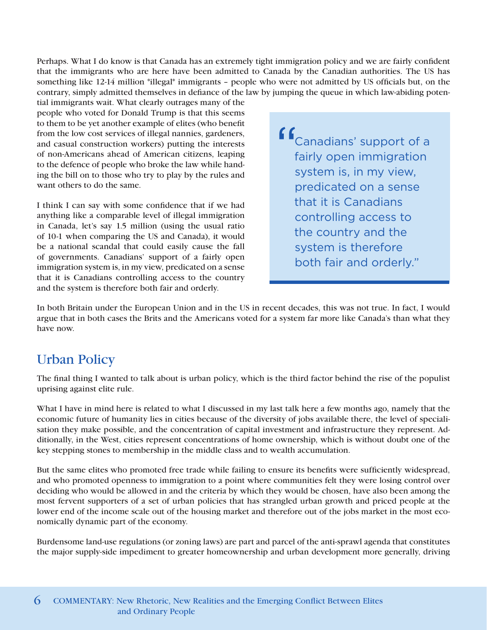Perhaps. What I do know is that Canada has an extremely tight immigration policy and we are fairly confident that the immigrants who are here have been admitted to Canada by the Canadian authorities. The US has something like 12-14 million \*illegal\* immigrants – people who were not admitted by US officials but, on the contrary, simply admitted themselves in defiance of the law by jumping the queue in which law-abiding poten-

tial immigrants wait. What clearly outrages many of the people who voted for Donald Trump is that this seems to them to be yet another example of elites (who benefit from the low cost services of illegal nannies, gardeners, and casual construction workers) putting the interests of non-Americans ahead of American citizens, leaping to the defence of people who broke the law while handing the bill on to those who try to play by the rules and want others to do the same.

I think I can say with some confidence that if we had anything like a comparable level of illegal immigration in Canada, let's say 1.5 million (using the usual ratio of 10-1 when comparing the US and Canada), it would be a national scandal that could easily cause the fall of governments. Canadians' support of a fairly open immigration system is, in my view, predicated on a sense that it is Canadians controlling access to the country and the system is therefore both fair and orderly.

f Canadians' support of a fairly open immigration system is, in my view, predicated on a sense that it is Canadians controlling access to the country and the system is therefore both fair and orderly."

In both Britain under the European Union and in the US in recent decades, this was not true. In fact, I would argue that in both cases the Brits and the Americans voted for a system far more like Canada's than what they have now.

### Urban Policy

The final thing I wanted to talk about is urban policy, which is the third factor behind the rise of the populist uprising against elite rule.

What I have in mind here is related to what I discussed in my last talk here a few months ago, namely that the economic future of humanity lies in cities because of the diversity of jobs available there, the level of specialisation they make possible, and the concentration of capital investment and infrastructure they represent. Additionally, in the West, cities represent concentrations of home ownership, which is without doubt one of the key stepping stones to membership in the middle class and to wealth accumulation.

But the same elites who promoted free trade while failing to ensure its benefits were sufficiently widespread, and who promoted openness to immigration to a point where communities felt they were losing control over deciding who would be allowed in and the criteria by which they would be chosen, have also been among the most fervent supporters of a set of urban policies that has strangled urban growth and priced people at the lower end of the income scale out of the housing market and therefore out of the jobs market in the most economically dynamic part of the economy.

Burdensome land-use regulations (or zoning laws) are part and parcel of the anti-sprawl agenda that constitutes the major supply-side impediment to greater homeownership and urban development more generally, driving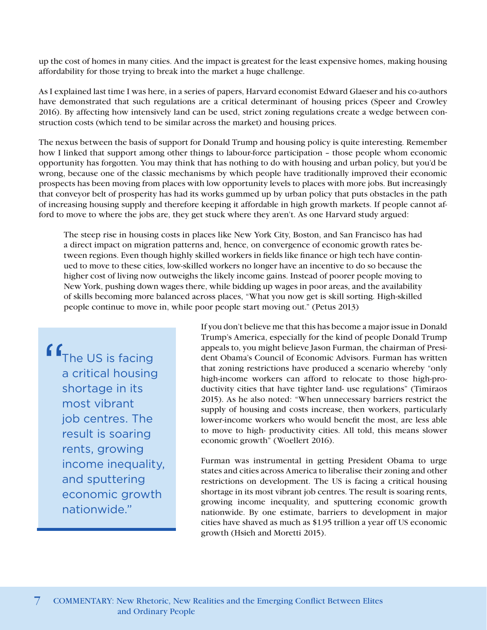up the cost of homes in many cities. And the impact is greatest for the least expensive homes, making housing affordability for those trying to break into the market a huge challenge.

As I explained last time I was here, in a series of papers, Harvard economist Edward Glaeser and his co-authors have demonstrated that such regulations are a critical determinant of housing prices (Speer and Crowley 2016). By affecting how intensively land can be used, strict zoning regulations create a wedge between construction costs (which tend to be similar across the market) and housing prices.

The nexus between the basis of support for Donald Trump and housing policy is quite interesting. Remember how I linked that support among other things to labour-force participation – those people whom economic opportunity has forgotten. You may think that has nothing to do with housing and urban policy, but you'd be wrong, because one of the classic mechanisms by which people have traditionally improved their economic prospects has been moving from places with low opportunity levels to places with more jobs. But increasingly that conveyor belt of prosperity has had its works gummed up by urban policy that puts obstacles in the path of increasing housing supply and therefore keeping it affordable in high growth markets. If people cannot afford to move to where the jobs are, they get stuck where they aren't. As one Harvard study argued:

The steep rise in housing costs in places like New York City, Boston, and San Francisco has had a direct impact on migration patterns and, hence, on convergence of economic growth rates between regions. Even though highly skilled workers in fields like finance or high tech have continued to move to these cities, low-skilled workers no longer have an incentive to do so because the higher cost of living now outweighs the likely income gains. Instead of poorer people moving to New York, pushing down wages there, while bidding up wages in poor areas, and the availability of skills becoming more balanced across places, "What you now get is skill sorting. High-skilled people continue to move in, while poor people start moving out." (Petus 2013)

**f** f<sub>The US</sub> is facing a critical housing shortage in its most vibrant job centres. The result is soaring rents, growing income inequality, and sputtering economic growth nationwide."

If you don't believe me that this has become a major issue in Donald Trump's America, especially for the kind of people Donald Trump appeals to, you might believe Jason Furman, the chairman of President Obama's Council of Economic Advisors. Furman has written that zoning restrictions have produced a scenario whereby "only high-income workers can afford to relocate to those high-productivity cities that have tighter land- use regulations" (Timiraos 2015). As he also noted: "When unnecessary barriers restrict the supply of housing and costs increase, then workers, particularly lower-income workers who would benefit the most, are less able to move to high- productivity cities. All told, this means slower economic growth" (Woellert 2016).

Furman was instrumental in getting President Obama to urge states and cities across America to liberalise their zoning and other restrictions on development. The US is facing a critical housing shortage in its most vibrant job centres. The result is soaring rents, growing income inequality, and sputtering economic growth nationwide. By one estimate, barriers to development in major cities have shaved as much as \$1.95 trillion a year off US economic growth (Hsieh and Moretti 2015).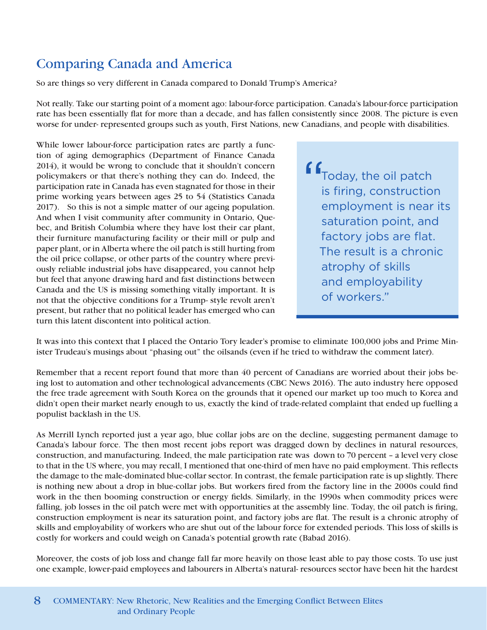### Comparing Canada and America

So are things so very different in Canada compared to Donald Trump's America?

Not really. Take our starting point of a moment ago: labour-force participation. Canada's labour-force participation rate has been essentially flat for more than a decade, and has fallen consistently since 2008. The picture is even worse for under- represented groups such as youth, First Nations, new Canadians, and people with disabilities.

While lower labour-force participation rates are partly a function of aging demographics (Department of Finance Canada 2014), it would be wrong to conclude that it shouldn't concern policymakers or that there's nothing they can do. Indeed, the participation rate in Canada has even stagnated for those in their prime working years between ages 25 to 54 (Statistics Canada 2017). So this is not a simple matter of our ageing population. And when I visit community after community in Ontario, Quebec, and British Columbia where they have lost their car plant, their furniture manufacturing facility or their mill or pulp and paper plant, or in Alberta where the oil patch is still hurting from the oil price collapse, or other parts of the country where previously reliable industrial jobs have disappeared, you cannot help but feel that anyone drawing hard and fast distinctions between Canada and the US is missing something vitally important. It is not that the objective conditions for a Trump- style revolt aren't present, but rather that no political leader has emerged who can turn this latent discontent into political action.

f f<sub>Today, the oil patch</sub> is firing, construction employment is near its saturation point, and factory jobs are flat. The result is a chronic atrophy of skills and employability of workers."

It was into this context that I placed the Ontario Tory leader's promise to eliminate 100,000 jobs and Prime Minister Trudeau's musings about "phasing out" the oilsands (even if he tried to withdraw the comment later).

Remember that a recent [report f](http://www.cbc.ca/news/business/automation-job-brookfield-1.3636253)ound that more than 40 percent of Canadians are worried about their jobs being lost to automation and other technological advancements (CBC News 2016). The auto industry here opposed the free trade agreement with South Korea on the grounds that it opened our market up too much to Korea and didn't open their market nearly enough to us, exactly the kind of trade-related complaint that ended up fuelling a populist backlash in the US.

As Merrill Lynch reported just a year ago, blue collar jobs are on the decline, suggesting permanent damage to Canada's labour force. The then most recent jobs report was dragged down by declines in natural resources, construction, and manufacturing. Indeed, the male participation rate was down to 70 percent – a level very close to that in the US where, you may recall, I mentioned that one-third of men have no paid employment. This reflects the damage to the male-dominated blue-collar sector. In contrast, the female participation rate is up slightly. There is nothing new about a drop in blue-collar jobs. But workers fired from the factory line in the 2000s could find work in the then booming construction or energy fields. Similarly, in the 1990s when commodity prices were falling, job losses in the oil patch were met with opportunities at the assembly line. Today, the oil patch is firing, construction employment is near its saturation point, and factory jobs are flat. The result is a chronic atrophy of skills and employability of workers who are shut out of the labour force for extended periods. This loss of skills is costly for workers and could weigh on Canada's potential growth rate (Babad 2016).

Moreover, the costs of job loss and change fall far more heavily on those least able to pay those costs. To use just one example, lower-paid employees and labourers in Alberta's natural- resources sector have been hit the hardest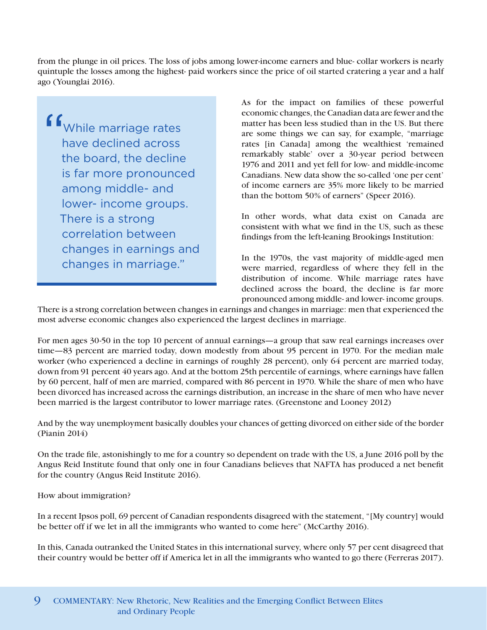from the plunge in oil prices. The loss of jobs among lower-income earners and blue- collar workers is nearly quintuple the losses among the highest- paid workers since the price of oil started cratering a year and a half ago (Younglai 2016).

f f<sub>While</sub> marriage rates have declined across the board, the decline is far more pronounced among middle- and lower- income groups. There is a strong correlation between changes in earnings and changes in marriage."

As for the impact on families of these powerful economic changes, the Canadian data are fewer and the matter has been less studied than in the US. But there are some things we can say, for example, "marriage rates [in Canada] among the wealthiest 'remained remarkably stable' over a 30-year period between 1976 and 2011 and yet fell for low- and middle-income Canadians. New data show the so-called 'one per cent' of income earners are 35% more likely to be married than the bottom 50% of earners" (Speer 2016).

In other words, what data exist on Canada are consistent with what we find in the US, such as these findings from the left-leaning Brookings Institution:

In the 1970s, the vast majority of middle-aged men were married, regardless of where they fell in the distribution of income. While marriage rates have declined across the board, the decline is far more pronounced among middle- and lower- income groups.

There is a strong correlation between changes in earnings and changes in marriage: men that experienced the most adverse economic changes also experienced the largest declines in marriage.

For men ages 30-50 in the top 10 percent of annual earnings—a group that saw real earnings increases over time—83 percent are married today, down modestly from about 95 percent in 1970. For the median male worker (who experienced a decline in earnings of roughly 28 percent), only 64 percent are married today, down from 91 percent 40 years ago. And at the bottom 25th percentile of earnings, where earnings have fallen by 60 percent, half of men are married, compared with 86 percent in 1970. While the share of men who have been divorced has increased across the earnings distribution, an increase in the share of men who have never been married is the largest contributor to lower marriage rates. (Greenstone and Looney 2012)

And by the way unemployment basically doubles your chances of getting divorced on either side of the border (Pianin 2014)

On the trade file, astonishingly to me for a country so dependent on trade with the US, a June 2016 [poll b](http://angusreid.org/three-amigos-summit-nafta/)y the Angus Reid Institute found that only one in four Canadians believes that NAFTA has produced a net benefit for the country (Angus Reid Institute 2016).

How about immigration?

In a recent Ipsos poll, 69 percent of Canadian respondents disagreed with the statement, "[My country] would be better off if we let in all the immigrants who wanted to come here" (McCarthy 2016).

In this, Canada outranked the United States in this international survey, where only 57 per cent disagreed that their country would be better off if America let in all the immigrants who wanted to go there (Ferreras 2017).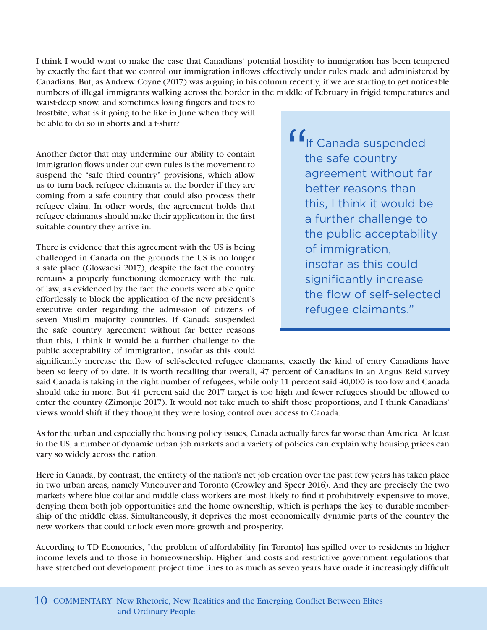I think I would want to make the case that Canadians' potential hostility to immigration has been tempered by exactly the fact that we control our immigration inflows effectively under rules made and administered by Canadians. But, as Andrew Coyne (2017) was arguing in his column recently, if we are starting to get noticeable numbers of illegal immigrants walking across the border in the middle of February in frigid temperatures and

waist-deep snow, and sometimes losing fingers and toes to frostbite, what is it going to be like in June when they will be able to do so in shorts and a t-shirt?

Another factor that may undermine our ability to contain immigration flows under our own rules is the movement to suspend the "safe third country" provisions, which allow us to turn back refugee claimants at the border if they are coming from a safe country that could also process their refugee claim. In other words, the agreement holds that refugee claimants should make their application in the first suitable country they arrive in.

There is evidence that this agreement with the US is being challenged in Canada on the grounds the US is no longer a safe place (Glowacki 2017), despite the fact the country remains a properly functioning democracy with the rule of law, as evidenced by the fact the courts were able quite effortlessly to block the application of the new president's executive order regarding the admission of citizens of seven Muslim majority countries. If Canada suspended the safe country agreement without far better reasons than this, I think it would be a further challenge to the public acceptability of immigration, insofar as this could

If Canada suspended the safe country agreement without far better reasons than this, I think it would be a further challenge to the public acceptability of immigration, insofar as this could significantly increase the flow of self-selected refugee claimants."

significantly increase the flow of self-selected refugee claimants, exactly the kind of entry Canadians have been so leery of to date. It is worth recalling that overall, 47 percent of Canadians in an Angus Reid survey said Canada is taking in the right number of refugees, while only 11 percent said 40,000 is too low and Canada should take in more. But 41 percent said the 2017 target is too high and fewer refugees should be allowed to enter the country (Zimonjic 2017). It would not take much to shift those proportions, and I think Canadians' views would shift if they thought they were losing control over access to Canada.

As for the urban and especially the housing policy issues, Canada actually fares far worse than America. At least in the US, a number of dynamic urban job markets and a variety of policies can explain why housing prices can vary so widely across the nation.

Here in Canada, by contrast, the entirety of the nation's net job creation over the past few years has taken place in two urban areas, namely Vancouver and Toronto (Crowley and Speer 2016). And they are precisely the two markets where blue-collar and middle class workers are most likely to find it prohibitively expensive to move, denying them both job opportunities and the home ownership, which is perhaps **the** key to durable membership of the middle class. Simultaneously, it deprives the most economically dynamic parts of the country the new workers that could unlock even more growth and prosperity.

According to TD Economics, "the problem of affordability [in Toronto] has spilled over to residents in higher income levels and to those in homeownership. Higher land costs and restrictive government regulations that have stretched out development project time lines to as much as seven years have made it increasingly difficult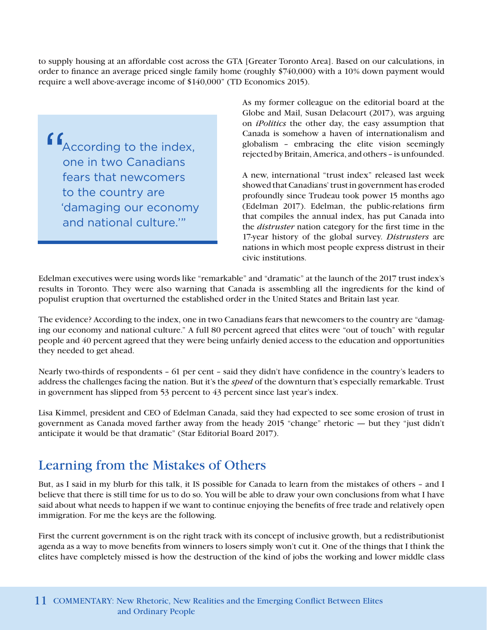to supply housing at an affordable cost across the GTA [Greater Toronto Area]. Based on our calculations, in order to finance an average priced single family home (roughly \$740,000) with a 10% down payment would require a well above-average income of \$140,000" (TD Economics 2015).

 $\begin{array}{c}\nG \\
\downarrow \\
G \\
\downarrow \\
G\n\end{array}$ According to the index, one in two Canadians fears that newcomers to the country are 'damaging our economy and national culture.'"

As my former colleague on the editorial board at the Globe and Mail, Susan Delacourt (2017), was arguing on *iPolitics* the other day, the easy assumption that Canada is somehow a haven of internationalism and globalism – embracing the elite vision seemingly rejected by Britain, America, and others – is unfounded.

A new, international "trust index" released last week showed that Canadians' trust in government has eroded profoundly since [Trudeau took power 15 months ago](http://www.edelman.com/trust2017/trust-in-canada/)  [\(Edelman 2017\).](http://www.edelman.com/trust2017/trust-in-canada/) Edelman, the public-relations firm that compiles the annual index, has put Canada into the *distruster* nation category for the first time in the 17-year history of the global survey. *Distrusters* are nations in which most people express distrust in their civic institutions.

Edelman executives were using words like "remarkable" and "dramatic" at the launch of the 2017 trust index's results in Toronto. They were also warning that Canada is assembling all the ingredients for the kind of populist eruption that overturned the established order in the United States and Britain last year.

The evidence? According to the index, one in two Canadians fears that newcomers to the country are "damaging our economy and national culture." A full 80 percent agreed that elites were "out of touch" with regular people and 40 percent agreed that they were being unfairly denied access to the education and opportunities they needed to get ahead.

Nearly two-thirds of respondents – 61 per cent – said they didn't have confidence in the country's leaders to address the challenges facing the nation. But it's the *speed* of the downturn that's especially remarkable. Trust in government has slipped from 53 percent to 43 percent since last year's index.

Lisa Kimmel, president and CEO of Edelman Canada, said they had expected to see some erosion of trust in government as Canada moved farther away from the heady 2015 "change" rhetoric — but they "just didn't anticipate it would be that dramatic" (Star Editorial Board 2017).

### Learning from the Mistakes of Others

But, as I said in my blurb for this talk, it IS possible for Canada to learn from the mistakes of others – and I believe that there is still time for us to do so. You will be able to draw your own conclusions from what I have said about what needs to happen if we want to continue enjoying the benefits of free trade and relatively open immigration. For me the keys are the following.

First the current government is on the right track with its concept of inclusive growth, but a redistributionist agenda as a way to move benefits from winners to losers simply won't cut it. One of the things that I think the elites have completely missed is how the destruction of the kind of jobs the working and lower middle class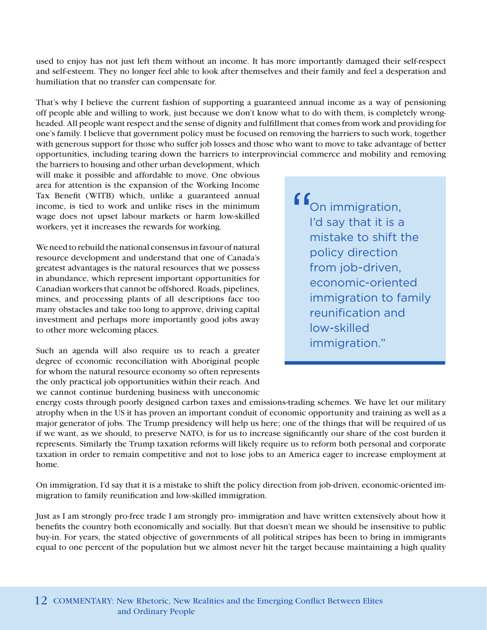used to enjoy has not just left them without an income. It has more importantly damaged their self-respect and self-esteem. They no longer feel able to look after themselves and their family and feel a desperation and humiliation that no transfer can compensate for.

That's why I believe the current fashion of supporting a guaranteed annual income as a way of pensioning off people able and willing to work, just because we don't know what to do with them, is completely wrongheaded. All people want respect and the sense of dignity and fulfillment that comes from work and providing for one's family. I believe that government policy must be focused on removing the barriers to such work, together with generous support for those who suffer job losses and those who want to move to take advantage of better opportunities, including tearing down the barriers to interprovincial commerce and mobility and removing

the barriers to housing and other urban development, which will make it possible and affordable to move. One obvious area for attention is the expansion of the Working Income Tax Benefit (WITB) which, unlike a guaranteed annual income, is tied to work and unlike rises in the minimum wage does not upset labour markets or harm low-skilled workers, yet it increases the rewards for working.

We need to rebuild the national consensus in favour of natural resource development and understand that one of Canada's greatest advantages is the natural resources that we possess in abundance, which represent important opportunities for Canadian workers that cannot be offshored. Roads, pipelines, mines, and processing plants of all descriptions face too many obstacles and take too long to approve, driving capital investment and perhaps more importantly good jobs away to other more welcoming places.

Such an agenda will also require us to reach a greater degree of economic reconciliation with Aboriginal people for whom the natural resource economy so often represents the only practical job opportunities within their reach. And we cannot continue burdening business with uneconomic

f f<sub>On immigration,</sub> I'd say that it is a mistake to shift the policy direction from job-driven, economic-oriented immigration to family reunification and low-skilled immigration."

energy costs through poorly designed carbon taxes and emissions-trading schemes. We have let our military atrophy when in the US it has proven an important conduit of economic opportunity and training as well as a major generator of jobs. The Trump presidency will help us here; one of the things that will be required of us if we want, as we should, to preserve NATO, is for us to increase significantly our share of the cost burden it represents. Similarly the Trump taxation reforms will likely require us to reform both personal and corporate taxation in order to remain competitive and not to lose jobs to an America eager to increase employment at home.

On immigration, I'd say that it is a mistake to shift the policy direction from job-driven, economic-oriented immigration to family reunification and low-skilled immigration.

Just as I am strongly pro-free trade I am strongly pro- immigration and have written extensively about how it benefits the country both economically and socially. But that doesn't mean we should be insensitive to public buy-in. For years, the stated objective of governments of all political stripes has been to bring in immigrants equal to one percent of the population but we almost never hit the target because maintaining a high quality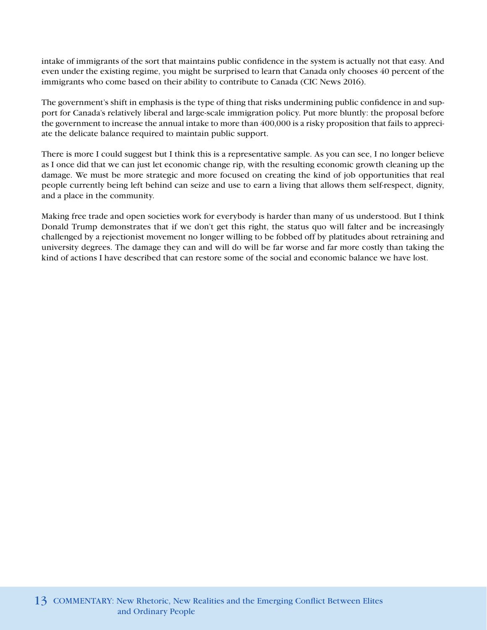intake of immigrants of the sort that maintains public confidence in the system is actually not that easy. And even under the existing regime, you might be surprised to learn that Canada only chooses 40 percent of the immigrants who come based on their ability to contribute to Canada (CIC News 2016).

The government's shift in emphasis is the type of thing that risks undermining public confidence in and support for Canada's relatively liberal and large-scale immigration policy. Put more bluntly: the proposal before the government to increase the annual intake to more than 400,000 is a risky proposition that fails to appreciate the delicate balance required to maintain public support.

There is more I could suggest but I think this is a representative sample. As you can see, I no longer believe as I once did that we can just let economic change rip, with the resulting economic growth cleaning up the damage. We must be more strategic and more focused on creating the kind of job opportunities that real people currently being left behind can seize and use to earn a living that allows them self-respect, dignity, and a place in the community.

Making free trade and open societies work for everybody is harder than many of us understood. But I think Donald Trump demonstrates that if we don't get this right, the status quo will falter and be increasingly challenged by a rejectionist movement no longer willing to be fobbed off by platitudes about retraining and university degrees. The damage they can and will do will be far worse and far more costly than taking the kind of actions I have described that can restore some of the social and economic balance we have lost.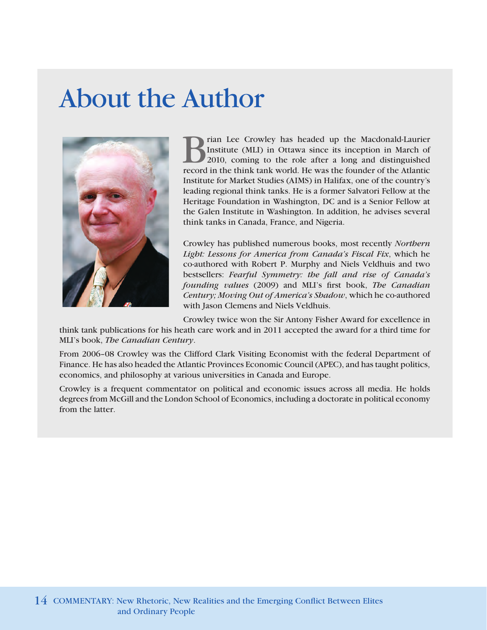### About the Author



**Brian Lee Crowley has headed up the Macdonald-Laurier**<br>Institute (MLI) in Ottawa since its inception in March of<br>2010, coming to the role after a long and distinguished<br>record in the think tank world. He was the founder o Institute (MLI) in Ottawa since its inception in March of 2010, coming to the role after a long and distinguished record in the think tank world. He was the founder of the Atlantic Institute for Market Studies (AIMS) in Halifax, one of the country's leading regional think tanks. He is a former Salvatori Fellow at the Heritage Foundation in Washington, DC and is a Senior Fellow at the Galen Institute in Washington. In addition, he advises several think tanks in Canada, France, and Nigeria.

Crowley has published numerous books, most recently *Northern Light: Lessons for America from Canada's Fiscal Fix*, which he co-authored with Robert P. Murphy and Niels Veldhuis and two bestsellers: *Fearful Symmetry: the fall and rise of Canada's founding values* (2009) and MLI's first book, *The Canadian Century; Moving Out of America's Shadow*, which he co-authored with Jason Clemens and Niels Veldhuis.

Crowley twice won the Sir Antony Fisher Award for excellence in

think tank publications for his heath care work and in 2011 accepted the award for a third time for MLI's book, *The Canadian Century*.

From 2006–08 Crowley was the Clifford Clark Visiting Economist with the federal Department of Finance. He has also headed the Atlantic Provinces Economic Council (APEC), and has taught politics, economics, and philosophy at various universities in Canada and Europe.

Crowley is a frequent commentator on political and economic issues across all media. He holds degrees from McGill and the London School of Economics, including a doctorate in political economy from the latter.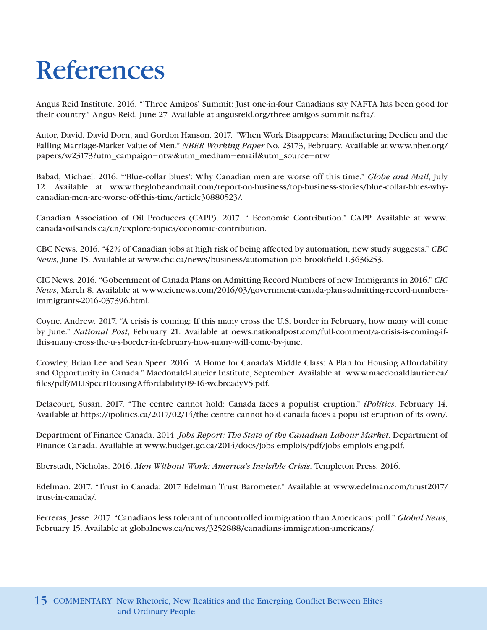## References

Angus Reid Institute. 2016. "'Three Amigos' Summit: Just one-in-four Canadians say NAFTA has been good for their country." Angus Reid, June 27. Available at angusreid.org/three-amigos-summit-nafta/.

Autor, David, David Dorn, and Gordon Hanson. 2017. "When Work Disappears: Manufacturing Declien and the Falling Marriage-Market Value of Men." *NBER Working Paper* No. 23173, February. Available at www.nber.org/ papers/w23173?utm\_campaign=ntw&utm\_medium=email&utm\_source=ntw.

Babad, Michael. 2016. "'Blue-collar blues': Why Canadian men are worse off this time." *Globe and Mail*, July 12. Available at www.theglobeandmail.com/report-on-business/top-business-stories/blue-collar-blues-whycanadian-men-are-worse-off-this-time/article30880523/.

Canadian Association of Oil Producers (CAPP). 2017. " Economic Contribution." CAPP. Available at www. canadasoilsands.ca/en/explore-topics/economic-contribution.

CBC News. 2016. "42% of Canadian jobs at high risk of being affected by automation, new study suggests." *CBC News*, June 15. Available at www.cbc.ca/news/business/automation-job-brookfield-1.3636253.

CIC News. 2016. "Gobernment of Canada Plans on Admitting Record Numbers of new Immigrants in 2016." *CIC News*, March 8. Available at www.cicnews.com/2016/03/government-canada-plans-admitting-record-numbersimmigrants-2016-037396.html.

Coyne, Andrew. 2017. "A crisis is coming: If this many cross the U.S. border in February, how many will come by June." *National Post*, February 21. Available at news.nationalpost.com/full-comment/a-crisis-is-coming-ifthis-many-cross-the-u-s-border-in-february-how-many-will-come-by-june.

Crowley, Brian Lee and Sean Speer. 2016. "A Home for Canada's Middle Class: A Plan for Housing Affordability and Opportunity in Canada." Macdonald-Laurier Institute, September. Available at www.macdonaldlaurier.ca/ files/pdf/MLISpeerHousingAffordability09-16-webreadyV5.pdf.

Delacourt, Susan. 2017. "The centre cannot hold: Canada faces a populist eruption." *iPolitics*, February 14. Available at https://ipolitics.ca/2017/02/14/the-centre-cannot-hold-canada-faces-a-populist-eruption-of-its-own/.

Department of Finance Canada. 2014. *Jobs Report: The State of the Canadian Labour Market*. Department of Finance Canada. Available at www.budget.gc.ca/2014/docs/jobs-emplois/pdf/jobs-emplois-eng.pdf.

Eberstadt, Nicholas. 2016. *Men Without Work: America's Invisible Crisis*. Templeton Press, 2016.

Edelman. 2017. "Trust in Canada: 2017 Edelman Trust Barometer." Available at www.edelman.com/trust2017/ trust-in-canada/.

Ferreras, Jesse. 2017. "Canadians less tolerant of uncontrolled immigration than Americans: poll." *Global News*, February 15. Available at globalnews.ca/news/3252888/canadians-immigration-americans/.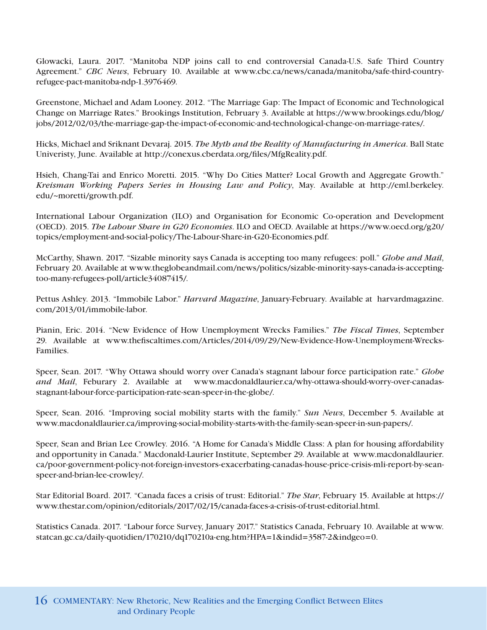Glowacki, Laura. 2017. "Manitoba NDP joins call to end controversial Canada-U.S. Safe Third Country Agreement." *CBC News*, February 10. Available at www.cbc.ca/news/canada/manitoba/safe-third-countryrefugee-pact-manitoba-ndp-1.3976469.

Greenstone, Michael and Adam Looney. 2012. "The Marriage Gap: The Impact of Economic and Technological Change on Marriage Rates." Brookings Institution, February 3. Available at https://www.brookings.edu/blog/ jobs/2012/02/03/the-marriage-gap-the-impact-of-economic-and-technological-change-on-marriage-rates/.

Hicks, Michael and Sriknant Devaraj. 2015. *The Myth and the Reality of Manufacturing in America*. Ball State Univeristy, June. Available at http://conexus.cberdata.org/files/MfgReality.pdf.

Hsieh, Chang-Tai and Enrico Moretti. 2015. "Why Do Cities Matter? Local Growth and Aggregate Growth." *Kreisman Working Papers Series in Housing Law and Policy*, May. Available at http://eml.berkeley. edu/~moretti/growth.pdf.

International Labour Organization (ILO) and Organisation for Economic Co-operation and Development (OECD). 2015. *The Labour Share in G20 Economies*. ILO and OECD. Available at https://www.oecd.org/g20/ topics/employment-and-social-policy/The-Labour-Share-in-G20-Economies.pdf.

McCarthy, Shawn. 2017. "Sizable minority says Canada is accepting too many refugees: poll." *Globe and Mail*, February 20. Available at www.theglobeandmail.com/news/politics/sizable-minority-says-canada-is-acceptingtoo-many-refugees-poll/article34087415/.

Pettus Ashley. 2013. "Immobile Labor." *Harvard Magazine*, January-February. Available at harvardmagazine. com/2013/01/immobile-labor.

Pianin, Eric. 2014. "New Evidence of How Unemployment Wrecks Families." *The Fiscal Times*, September 29. Available at www.thefiscaltimes.com/Articles/2014/09/29/New-Evidence-How-Unemployment-Wrecks-Families.

Speer, Sean. 2017. "Why Ottawa should worry over Canada's stagnant labour force participation rate." *Globe and Mail*, Feburary 2. Available at [www.macdonaldlaurier.ca/why-ottawa-should-worry-over-canadas](http://www.macdonaldlaurier.ca/why-ottawa-should-worry-over-canadas-stagnant-labour-force-participation-rate-sean-speer-in-the-globe/)[stagnant-labour-force-participation-rate-sean-speer-in-the-globe/](http://www.macdonaldlaurier.ca/why-ottawa-should-worry-over-canadas-stagnant-labour-force-participation-rate-sean-speer-in-the-globe/).

Speer, Sean. 2016. "Improving social mobility starts with the family." *Sun News*, December 5. Available at www.macdonaldlaurier.ca/improving-social-mobility-starts-with-the-family-sean-speer-in-sun-papers/.

Speer, Sean and Brian Lee Crowley. 2016. "A Home for Canada's Middle Class: A plan for housing affordability and opportunity in Canada." Macdonald-Laurier Institute, September 29. Available at www.macdonaldlaurier. ca/poor-government-policy-not-foreign-investors-exacerbating-canadas-house-price-crisis-mli-report-by-seanspeer-and-brian-lee-crowley/.

Star Editorial Board. 2017. "Canada faces a crisis of trust: Editorial." *The Star*, February 15. Available at https:// www.thestar.com/opinion/editorials/2017/02/15/canada-faces-a-crisis-of-trust-editorial.html.

Statistics Canada. 2017. "Labour force Survey, January 2017." Statistics Canada, February 10. Available at www. statcan.gc.ca/daily-quotidien/170210/dq170210a-eng.htm?HPA=1&indid=3587-2&indgeo=0.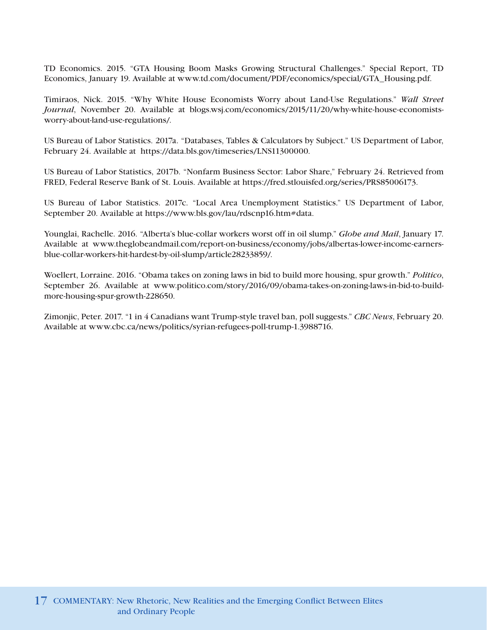TD Economics. 2015. "GTA Housing Boom Masks Growing Structural Challenges." Special Report, TD Economics, January 19. Available at www.td.com/document/PDF/economics/special/GTA\_Housing.pdf.

Timiraos, Nick. 2015. "Why White House Economists Worry about Land-Use Regulations." *Wall Street Journal*, November 20. Available at blogs.wsj.com/economics/2015/11/20/why-white-house-economistsworry-about-land-use-regulations/.

US Bureau of Labor Statistics. 2017a. "Databases, Tables & Calculators by Subject." US Department of Labor, February 24. Available at https://data.bls.gov/timeseries/LNS11300000.

US Bureau of Labor Statistics, 2017b. "Nonfarm Business Sector: Labor Share," February 24. Retrieved from FRED, Federal Reserve Bank of St. Louis. Available at https://fred.stlouisfed.org/series/PRS85006173.

US Bureau of Labor Statistics. 2017c. "Local Area Unemployment Statistics." US Department of Labor, September 20. Available at https://www.bls.gov/lau/rdscnp16.htm#data.

Younglai, Rachelle. 2016. "Alberta's blue-collar workers worst off in oil slump." *Globe and Mail*, January 17. Available at www.theglobeandmail.com/report-on-business/economy/jobs/albertas-lower-income-earnersblue-collar-workers-hit-hardest-by-oil-slump/article28233859/.

Woellert, Lorraine. 2016. "Obama takes on zoning laws in bid to build more housing, spur growth." *Politico*, September 26. Available at www.politico.com/story/2016/09/obama-takes-on-zoning-laws-in-bid-to-buildmore-housing-spur-growth-228650.

Zimonjic, Peter. 2017. "1 in 4 Canadians want Trump-style travel ban, poll suggests." *CBC News*, February 20. Available at www.cbc.ca/news/politics/syrian-refugees-poll-trump-1.3988716.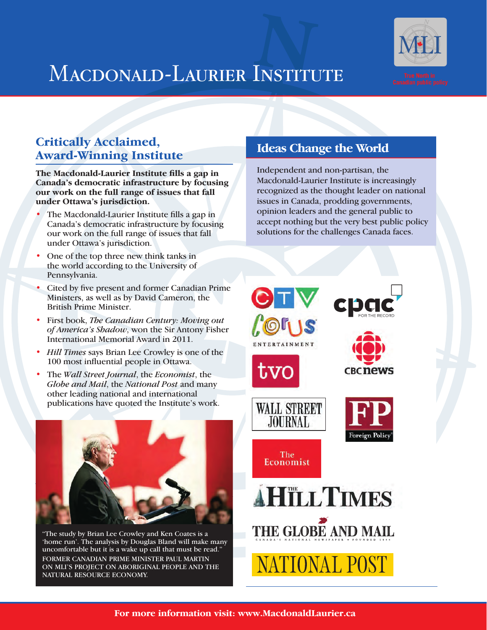

### MACDONALD-LAURIER INSTITUTE

#### **Critically Acclaimed, Award-Winning Institute**

**The Macdonald-Laurier Institute fills a gap in Canada's democratic infrastructure by focusing our work on the full range of issues that fall under Ottawa's jurisdiction.**

- The Macdonald-Laurier Institute fills a gap in Canada's democratic infrastructure by focusing our work on the full range of issues that fall under Ottawa's jurisdiction.
- One of the top three new think tanks in the world according to the University of Pennsylvania.
- Cited by five present and former Canadian Prime Ministers, as well as by David Cameron, the British Prime Minister.
- First book, *The Canadian Century: Moving out of America's Shadow*, won the Sir Antony Fisher International Memorial Award in 2011.
- *Hill Times* says Brian Lee Crowley is one of the 100 most influential people in Ottawa.
- The *Wall Street Journal*, the *Economist*, the *Globe and Mail*, the *National Post* and many other leading national and international publications have quoted the Institute's work.



"The study by Brian Lee Crowley and Ken Coates is a 'home run'. The analysis by Douglas Bland will make many uncomfortable but it is a wake up call that must be read." FORMER CANADIAN PRIME MINISTER PAUL MARTIN ON MLI'S PROJECT ON ABORIGINAL PEOPLE AND THE NATURAL RESOURCE ECONOMY.

### **Ideas Change the World**

Independent and non-partisan, the Macdonald-Laurier Institute is increasingly recognized as the thought leader on national issues in Canada, prodding governments, opinion leaders and the general public to accept nothing but the very best public policy solutions for the challenges Canada faces.

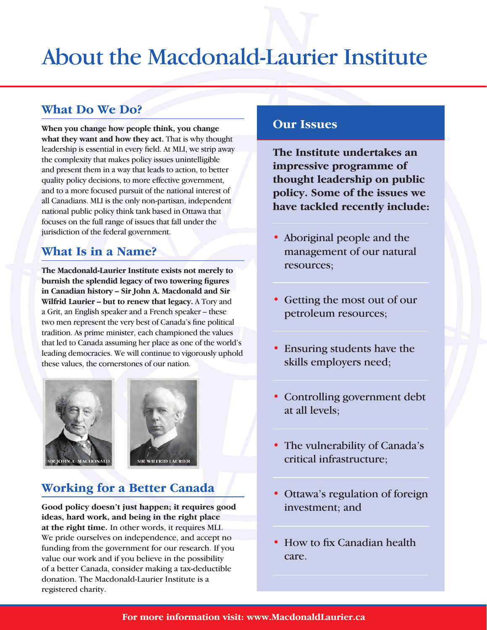### About the Macdonald-Laurier Institute

#### **What Do We Do?**

**When you change how people think, you change what they want and how they act.** That is why thought leadership is essential in every field. At MLI, we strip away the complexity that makes policy issues unintelligible and present them in a way that leads to action, to better quality policy decisions, to more effective government, and to a more focused pursuit of the national interest of all Canadians. MLI is the only non-partisan, independent national public policy think tank based in Ottawa that focuses on the full range of issues that fall under the jurisdiction of the federal government.

### **What Is in a Name?**

**The Macdonald-Laurier Institute exists not merely to burnish the splendid legacy of two towering figures in Canadian history – Sir John A. Macdonald and Sir Wilfrid Laurier – but to renew that legacy.** A Tory and a Grit, an English speaker and a French speaker – these two men represent the very best of Canada's fine political tradition. As prime minister, each championed the values that led to Canada assuming her place as one of the world's leading democracies. We will continue to vigorously uphold these values, the cornerstones of our nation.





### **Working for a Better Canada**

**Good policy doesn't just happen; it requires good ideas, hard work, and being in the right place at the right time.** In other words, it requires MLI. We pride ourselves on independence, and accept no funding from the government for our research. If you value our work and if you believe in the possibility of a better Canada, consider making a tax-deductible donation. The Macdonald-Laurier Institute is a registered charity.

#### **Our Issues**

**The Institute undertakes an impressive programme of thought leadership on public policy. Some of the issues we have tackled recently include:**

- Aboriginal people and the management of our natural resources;
- Getting the most out of our petroleum resources;
- Ensuring students have the skills employers need;
- Controlling government debt at all levels;
- The vulnerability of Canada's critical infrastructure;
- Ottawa's regulation of foreign investment; and
- How to fix Canadian health care.